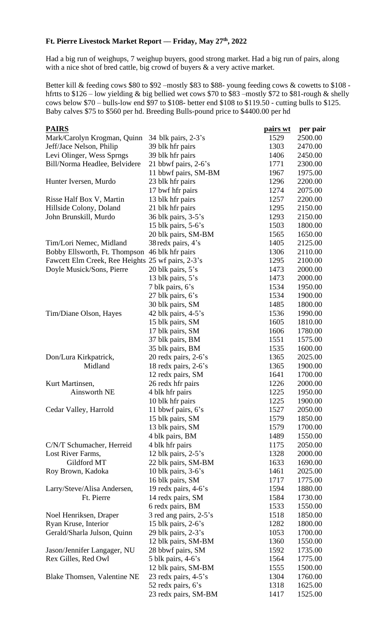## **Ft. Pierre Livestock Market Report –– Friday, May 27th, 2022**

Had a big run of weighups, 7 weighup buyers, good strong market. Had a big run of pairs, along with a nice shot of bred cattle, big crowd of buyers & a very active market.

Better kill & feeding cows \$80 to \$92 –mostly \$83 to \$88- young feeding cows & cowetts to \$108 hfrtts to \$126 – low yielding & big bellied wet cows \$70 to \$83 –mostly \$72 to \$81-rough & shelly cows below \$70 – bulls-low end \$97 to \$108- better end \$108 to \$119.50 - cutting bulls to \$125. Baby calves \$75 to \$560 per hd. Breeding Bulls-pound price to \$4400.00 per hd

| <b>PAIRS</b>                                      |                         | <u>pairs wt</u> | per pair |
|---------------------------------------------------|-------------------------|-----------------|----------|
| Mark/Carolyn Krogman, Quinn                       | 34 blk pairs, $2-3$ 's  | 1529            | 2500.00  |
| Jeff/Jace Nelson, Philip                          | 39 blk hfr pairs        | 1303            | 2470.00  |
| Levi Olinger, Wess Sprngs                         | 39 blk hfr pairs        | 1406            | 2450.00  |
| Bill/Norma Headlee, Belvidere                     | 21 bbwf pairs, $2-6$ 's | 1771            | 2300.00  |
|                                                   | 11 bbwf pairs, SM-BM    | 1967            | 1975.00  |
| Hunter Iversen, Murdo                             | 23 blk hfr pairs        | 1296            | 2200.00  |
|                                                   | 17 bwf hfr pairs        | 1274            | 2075.00  |
| Risse Half Box V, Martin                          | 13 blk hfr pairs        | 1257            | 2200.00  |
| Hillside Colony, Doland                           | 21 blk hfr pairs        | 1295            | 2150.00  |
| John Brunskill, Murdo                             | 36 blk pairs, 3-5's     | 1293            | 2150.00  |
|                                                   | 15 blk pairs, $5-6$ 's  | 1503            | 1800.00  |
|                                                   | 20 blk pairs, SM-BM     | 1565            | 1650.00  |
| Tim/Lori Nemec, Midland                           | 38 redx pairs, 4's      | 1405            | 2125.00  |
| Bobby Ellsworth, Ft. Thompson                     | 46 blk hfr pairs        | 1306            | 2110.00  |
| Fawcett Elm Creek, Ree Heights 25 wf pairs, 2-3's |                         | 1295            | 2100.00  |
| Doyle Musick/Sons, Pierre                         | 20 blk pairs, 5's       | 1473            | 2000.00  |
|                                                   | 13 blk pairs, 5's       | 1473            | 2000.00  |
|                                                   | 7 blk pairs, 6's        | 1534            | 1950.00  |
|                                                   | 27 blk pairs, 6's       | 1534            | 1900.00  |
|                                                   | 30 blk pairs, SM        | 1485            | 1800.00  |
| Tim/Diane Olson, Hayes                            | 42 blk pairs, $4-5$ 's  | 1536            | 1990.00  |
|                                                   | 15 blk pairs, SM        | 1605            | 1810.00  |
|                                                   | 17 blk pairs, SM        | 1606            | 1780.00  |
|                                                   | 37 blk pairs, BM        | 1551            | 1575.00  |
|                                                   | 35 blk pairs, BM        | 1535            | 1600.00  |
| Don/Lura Kirkpatrick,                             | 20 redx pairs, $2-6$ 's | 1365            | 2025.00  |
| Midland                                           | 18 redx pairs, 2-6's    | 1365            | 1900.00  |
|                                                   | 12 redx pairs, SM       | 1641            | 1700.00  |
| Kurt Martinsen,                                   | 26 redx hfr pairs       | 1226            | 2000.00  |
| <b>Ainsworth NE</b>                               | 4 blk hfr pairs         | 1225            | 1950.00  |
|                                                   | 10 blk hfr pairs        | 1225            | 1900.00  |
| Cedar Valley, Harrold                             | 11 bbwf pairs, 6's      | 1527            | 2050.00  |
|                                                   | 15 blk pairs, SM        | 1579            | 1850.00  |
|                                                   | 13 blk pairs, SM        | 1579            | 1700.00  |
|                                                   | 4 blk pairs, BM         | 1489            | 1550.00  |
| C/N/T Schumacher, Herreid                         | 4 blk hfr pairs         | 1175            | 2050.00  |
| Lost River Farms,                                 | 12 blk pairs, $2-5$ 's  | 1328            | 2000.00  |
| Gildford MT                                       | 22 blk pairs, SM-BM     | 1633            | 1690.00  |
| Roy Brown, Kadoka                                 | 10 blk pairs, $3-6$ 's  | 1461            | 2025.00  |
|                                                   | 16 blk pairs, SM        | 1717            | 1775.00  |
| Larry/Steve/Alisa Andersen,                       | 19 redx pairs, 4-6's    | 1594            | 1880.00  |
| Ft. Pierre                                        | 14 redx pairs, SM       | 1584            | 1730.00  |
|                                                   | 6 redx pairs, BM        | 1533            | 1550.00  |
| Noel Henriksen, Draper                            | 3 red ang pairs, 2-5's  | 1518            | 1850.00  |
| Ryan Kruse, Interior                              | 15 blk pairs, $2-6$ 's  | 1282            | 1800.00  |
| Gerald/Sharla Julson, Quinn                       | 29 blk pairs, 2-3's     | 1053            | 1700.00  |
|                                                   | 12 blk pairs, SM-BM     | 1360            | 1550.00  |
| Jason/Jennifer Langager, NU                       | 28 bbwf pairs, SM       | 1592            | 1735.00  |
| Rex Gilles, Red Owl                               | 5 blk pairs, 4-6's      | 1564            | 1775.00  |
|                                                   | 12 blk pairs, SM-BM     | 1555            | 1500.00  |
| Blake Thomsen, Valentine NE                       | 23 redx pairs, 4-5's    | 1304            | 1760.00  |
|                                                   | 52 redx pairs, 6's      | 1318            | 1625.00  |
|                                                   | 23 redx pairs, SM-BM    | 1417            | 1525.00  |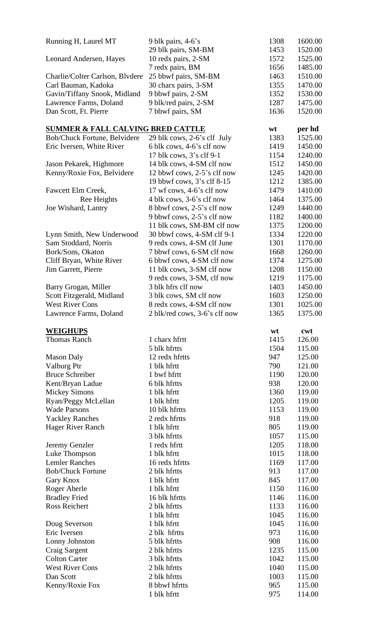| Running H, Laurel MT                         | 9 blk pairs, 4-6's            | 1308         | 1600.00          |
|----------------------------------------------|-------------------------------|--------------|------------------|
|                                              | 29 blk pairs, SM-BM           | 1453         | 1520.00          |
| Leonard Andersen, Hayes                      | 10 redx pairs, 2-SM           | 1572         | 1525.00          |
|                                              | 7 redx pairs, BM              | 1656         | 1485.00          |
| Charlie/Colter Carlson, Blvdere              | 25 bbwf pairs, SM-BM          | 1463         | 1510.00          |
| Carl Bauman, Kadoka                          | 30 charx pairs, 3-SM          | 1355         | 1470.00          |
| Gavin/Tiffany Snook, Midland                 | 9 bbwf pairs, 2-SM            | 1352         | 1530.00          |
| Lawrence Farms, Doland                       | 9 blk/red pairs, 2-SM         | 1287         | 1475.00          |
| Dan Scott, Ft. Pierre                        | 7 bbwf pairs, SM              | 1636         | 1520.00          |
|                                              |                               |              |                  |
| <b>SUMMER &amp; FALL CALVING BRED CATTLE</b> |                               | wt           | per hd           |
| Bob/Chuck Fortune, Belvidere                 | 29 blk cows, 2-6's clf July   | 1383         | 1525.00          |
| Eric Iversen, White River                    | 6 blk cows, 4-6's clf now     | 1419         | 1450.00          |
|                                              | 17 blk cows, 3's clf 9-1      | 1154         | 1240.00          |
| Jason Pekarek, Highmore                      | 14 blk cows, 4-SM clf now     | 1512         | 1450.00          |
| Kenny/Roxie Fox, Belvidere                   | 12 bbwf cows, 2-5's clf now   | 1245         | 1420.00          |
|                                              | 19 bbwf cows, 3's clf 8-15    | 1212         | 1385.00          |
| Fawcett Elm Creek,                           | 17 wf cows, 4-6's clf now     | 1479         | 1410.00          |
| Ree Heights                                  | 4 blk cows, 3-6's clf now     | 1464         | 1375.00          |
| Joe Wishard, Lantry                          | 8 bbwf cows, 2-5's clf now    | 1249         | 1440.00          |
|                                              | 9 bbwf cows, 2-5's clf now    | 1182         | 1400.00          |
|                                              |                               |              | 1200.00          |
|                                              | 11 blk cows, SM-BM clf now    | 1375         |                  |
| Lynn Smith, New Underwood                    | 30 bbwf cows, 4-SM clf 9-1    | 1334         | 1220.00          |
| Sam Stoddard, Norris                         | 9 redx cows, 4-SM clf June    | 1301         | 1170.00          |
| Bork/Sons, Okaton                            | 7 bbwf cows, 6-SM clf now     | 1668         | 1260.00          |
| Cliff Bryan, White River                     | 6 bbwf cows, 4-SM clf now     | 1374         | 1275.00          |
| Jim Garrett, Pierre                          | 11 blk cows, 3-SM clf now     | 1208         | 1150.00          |
|                                              | 9 redx cows, 3-SM, clf now    | 1219         | 1175.00          |
| Barry Grogan, Miller                         | 3 blk hfrs clf now            | 1403         | 1450.00          |
| Scott Fitzgerald, Midland                    | 3 blk cows, SM clf now        | 1603         | 1250.00          |
| <b>West River Cons</b>                       | 8 redx cows, 4-SM clf now     | 1301         | 1025.00          |
| Lawrence Farms, Doland                       | 2 blk/red cows, 3-6's clf now | 1365         | 1375.00          |
|                                              |                               |              |                  |
|                                              |                               |              |                  |
| <b>WEIGHUPS</b>                              |                               | wt           | cwt              |
| <b>Thomas Ranch</b>                          | 1 charx hfrtt                 | 1415         | 126.00           |
|                                              | 5 blk hfrtts                  | 1504         | 115.00           |
| <b>Mason Daly</b>                            | 12 redx hfrtts                | 947          | 125.00           |
| Valburg Ptr                                  | 1 blk hfrtt                   | 790          | 121.00           |
| <b>Bruce Schreiber</b>                       | 1 bwf hfrtt                   | 1190         | 120.00           |
| Kent/Bryan Ladue                             | 6 blk hfrtts                  | 938          | 120.00           |
| <b>Mickey Simons</b>                         | 1 blk hfrtt                   | 1360         | 119.00           |
| Ryan/Peggy McLellan                          | 1 blk hfrtt                   | 1205         | 119.00           |
| <b>Wade Parsons</b>                          | 10 blk hfrtts                 | 1153         | 119.00           |
| <b>Yackley Ranches</b>                       | 2 redx hfrtts                 | 918          | 119.00           |
| <b>Hager River Ranch</b>                     | 1 blk hfrtt                   | 805          | 119.00           |
|                                              | 3 blk hfrtts                  | 1057         | 115.00           |
| Jeremy Genzler                               | 1 redx hfrtt                  | 1205         | 118.00           |
| Luke Thompson                                | 1 blk hfrtt                   | 1015         | 118.00           |
| <b>Lemler Ranches</b>                        | 16 redx hfrtts                | 1169         | 117.00           |
| <b>Bob/Chuck Fortune</b>                     | 2 blk hfrtts                  | 913          | 117.00           |
| Gary Knox                                    | 1 blk hfrtt                   | 845          | 117.00           |
|                                              | 1 blk hfrtt                   | 1150         | 116.00           |
| Roger Aberle                                 | 16 blk hfrtts                 | 1146         | 116.00           |
| <b>Bradley Fried</b><br><b>Ross Reichert</b> | 2 blk hfrtts                  |              |                  |
|                                              | 1 blk hfrtt                   | 1133<br>1045 | 116.00<br>116.00 |
|                                              | 1 blk hfrtt                   | 1045         | 116.00           |
| Doug Severson<br>Eric Iversen                | 2 blk hfrtts                  | 973          | 116.00           |
|                                              |                               |              |                  |
| Lonny Johnston                               | 5 blk hfrtts                  | 908          | 116.00           |
| Craig Sargent                                | 2 blk hfrtts                  | 1235         | 115.00           |
| <b>Colton Carter</b>                         | 3 blk hfrtts                  | 1042         | 115.00           |
| <b>West River Cons</b>                       | 2 blk hfrtts                  | 1040         | 115.00           |
| Dan Scott                                    | 2 blk hfrtts                  | 1003         | 115.00           |
| Kenny/Roxie Fox                              | 8 bbwf hfrtts<br>1 blk hfrtt  | 965<br>975   | 115.00<br>114.00 |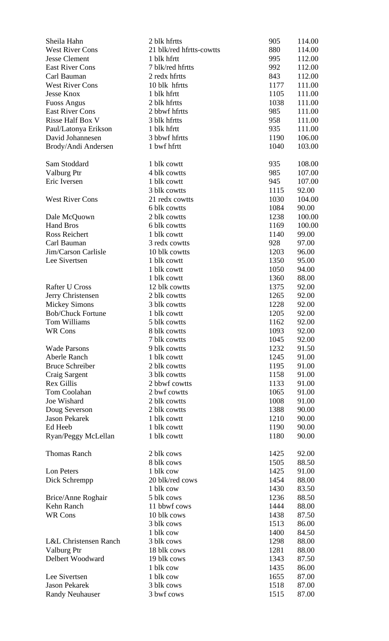| Sheila Hahn                           | 2 blk hfrtts                  | 905          | 114.00         |
|---------------------------------------|-------------------------------|--------------|----------------|
| <b>West River Cons</b>                | 21 blk/red hfrtts-cowtts      | 880          | 114.00         |
| <b>Jesse Clement</b>                  | 1 blk hfrtt                   | 995          | 112.00         |
| <b>East River Cons</b>                | 7 blk/red hfrtts              | 992          | 112.00         |
| Carl Bauman                           | 2 redx hfrtts                 | 843          | 112.00         |
| <b>West River Cons</b>                | 10 blk hfrtts                 | 1177         | 111.00         |
| <b>Jesse Knox</b>                     | 1 blk hfrtt                   | 1105         | 111.00         |
| <b>Fuoss Angus</b>                    | 2 blk hfrtts                  | 1038         | 111.00         |
| <b>East River Cons</b>                | 2 bbwf hfrtts                 | 985          | 111.00         |
| Risse Half Box V                      | 3 blk hfrtts                  | 958          | 111.00         |
| Paul/Latonya Erikson                  | 1 blk hfrtt                   | 935          | 111.00         |
| David Johannesen                      | 3 bbwf hfrtts                 | 1190         | 106.00         |
| Brody/Andi Andersen                   | 1 bwf hfrtt                   | 1040         | 103.00         |
| Sam Stoddard                          | 1 blk cowtt                   | 935          | 108.00         |
| Valburg Ptr                           | 4 blk cowtts                  | 985          | 107.00         |
| Eric Iversen                          | 1 blk cowtt                   | 945          | 107.00         |
|                                       | 3 blk cowtts                  | 1115         | 92.00          |
| <b>West River Cons</b>                | 21 redx cowtts                | 1030         | 104.00         |
|                                       | 6 blk cowtts                  | 1084         | 90.00          |
| Dale McQuown                          | 2 blk cowtts                  | 1238         | 100.00         |
| <b>Hand Bros</b>                      | 6 blk cowtts                  | 1169         | 100.00         |
| Ross Reichert                         | 1 blk cowtt                   | 1140         | 99.00          |
| Carl Bauman                           | 3 redx cowtts                 | 928          | 97.00          |
| Jim/Carson Carlisle                   | 10 blk cowtts                 | 1203         | 96.00          |
| Lee Sivertsen                         | 1 blk cowtt                   | 1350         | 95.00          |
|                                       | 1 blk cowtt                   | 1050         | 94.00          |
|                                       | 1 blk cowtt                   | 1360         | 88.00          |
| <b>Rafter U Cross</b>                 | 12 blk cowtts                 | 1375         | 92.00          |
| Jerry Christensen                     | 2 blk cowtts                  | 1265         | 92.00          |
| <b>Mickey Simons</b>                  | 3 blk cowtts                  | 1228         | 92.00          |
| <b>Bob/Chuck Fortune</b>              | 1 blk cowtt                   | 1205         | 92.00          |
| Tom Williams                          | 5 blk cowtts                  | 1162         | 92.00          |
| WR Cons                               | 8 blk cowtts                  | 1093         | 92.00          |
|                                       | 7 blk cowtts                  | 1045         | 92.00          |
| <b>Wade Parsons</b>                   | 9 blk cowtts                  | 1232         | 91.50          |
| Aberle Ranch                          | 1 blk cowtt                   | 1245         | 91.00<br>91.00 |
| <b>Bruce Schreiber</b>                | 2 blk cowtts                  | 1195         |                |
| Craig Sargent                         | 3 blk cowtts<br>2 bbwf cowtts | 1158         | 91.00<br>91.00 |
| Rex Gillis<br>Tom Coolahan            | 2 bwf cowtts                  | 1133<br>1065 | 91.00          |
| Joe Wishard                           | 2 blk cowtts                  | 1008         | 91.00          |
|                                       | 2 blk cowtts                  | 1388         | 90.00          |
| Doug Severson<br><b>Jason Pekarek</b> | 1 blk cowtt                   | 1210         | 90.00          |
| Ed Heeb                               | 1 blk cowtt                   | 1190         |                |
|                                       |                               |              | 90.00          |
| Ryan/Peggy McLellan                   | 1 blk cowtt                   | 1180         | 90.00          |
| <b>Thomas Ranch</b>                   | 2 blk cows                    | 1425         | 92.00          |
|                                       | 8 blk cows                    | 1505         | 88.50          |
| Lon Peters                            | 1 blk cow                     | 1425         | 91.00          |
| Dick Schrempp                         | 20 blk/red cows               | 1454         | 88.00          |
|                                       | 1 blk cow                     | 1430         | 83.50          |
| Brice/Anne Roghair                    | 5 blk cows                    | 1236         | 88.50          |
| Kehn Ranch                            | 11 bbwf cows                  | 1444         | 88.00          |
| <b>WR Cons</b>                        | 10 blk cows                   | 1438         | 87.50          |
|                                       | 3 blk cows                    | 1513         | 86.00          |
|                                       | 1 blk cow                     | 1400         | 84.50          |
| L&L Christensen Ranch                 | 3 blk cows                    | 1298         | 88.00          |
| Valburg Ptr                           | 18 blk cows                   | 1281         | 88.00          |
| Delbert Woodward                      | 19 blk cows                   | 1343         | 87.50          |
|                                       | 1 blk cow                     | 1435         | 86.00          |
| Lee Sivertsen                         | 1 blk cow                     | 1655         | 87.00          |
| <b>Jason Pekarek</b>                  | 3 blk cows                    | 1518         | 87.00          |
| <b>Randy Neuhauser</b>                | 3 bwf cows                    | 1515         | 87.00          |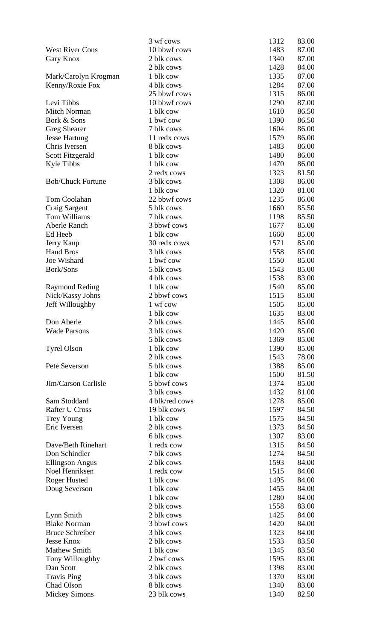|                          | 3 wf cows      | 1312         | 83.00 |
|--------------------------|----------------|--------------|-------|
| <b>West River Cons</b>   | 10 bbwf cows   | 1483         | 87.00 |
|                          | 2 blk cows     | 1340         | 87.00 |
| Gary Knox                | 2 blk cows     |              | 84.00 |
|                          | 1 blk cow      | 1428<br>1335 | 87.00 |
| Mark/Carolyn Krogman     | 4 blk cows     | 1284         | 87.00 |
| Kenny/Roxie Fox          | 25 bbwf cows   | 1315         | 86.00 |
| Levi Tibbs               | 10 bbwf cows   | 1290         | 87.00 |
| <b>Mitch Norman</b>      | 1 blk cow      | 1610         | 86.50 |
| Bork & Sons              | 1 bwf cow      | 1390         | 86.50 |
| <b>Greg Shearer</b>      | 7 blk cows     | 1604         | 86.00 |
| <b>Jesse Hartung</b>     | 11 redx cows   | 1579         | 86.00 |
| Chris Iversen            | 8 blk cows     | 1483         | 86.00 |
| Scott Fitzgerald         | 1 blk cow      | 1480         | 86.00 |
| <b>Kyle Tibbs</b>        | 1 blk cow      | 1470         | 86.00 |
|                          | 2 redx cows    | 1323         | 81.50 |
| <b>Bob/Chuck Fortune</b> | 3 blk cows     | 1308         | 86.00 |
|                          | 1 blk cow      | 1320         | 81.00 |
| Tom Coolahan             | 22 bbwf cows   | 1235         | 86.00 |
| <b>Craig Sargent</b>     | 5 blk cows     | 1660         | 85.50 |
| Tom Williams             | 7 blk cows     | 1198         | 85.50 |
| Aberle Ranch             | 3 bbwf cows    | 1677         | 85.00 |
| Ed Heeb                  | 1 blk cow      | 1660         | 85.00 |
| Jerry Kaup               | 30 redx cows   | 1571         | 85.00 |
| <b>Hand Bros</b>         | 3 blk cows     | 1558         | 85.00 |
| Joe Wishard              | 1 bwf cow      | 1550         | 85.00 |
| Bork/Sons                | 5 blk cows     | 1543         | 85.00 |
|                          | 4 blk cows     | 1538         | 83.00 |
| <b>Raymond Reding</b>    | 1 blk cow      | 1540         | 85.00 |
| Nick/Kassy Johns         | 2 bbwf cows    | 1515         | 85.00 |
| Jeff Willoughby          | 1 wf cow       | 1505         | 85.00 |
|                          | 1 blk cow      | 1635         | 83.00 |
| Don Aberle               | 2 blk cows     | 1445         | 85.00 |
| <b>Wade Parsons</b>      | 3 blk cows     | 1420         | 85.00 |
|                          | 5 blk cows     | 1369         | 85.00 |
| <b>Tyrel Olson</b>       | 1 blk cow      | 1390         | 85.00 |
|                          | 2 blk cows     | 1543         | 78.00 |
| Pete Severson            | 5 blk cows     | 1388         | 85.00 |
|                          | 1 blk cow      | 1500         | 81.50 |
| Jim/Carson Carlisle      | 5 bbwf cows    | 1374         | 85.00 |
|                          | 3 blk cows     | 1432         | 81.00 |
| Sam Stoddard             | 4 blk/red cows | 1278         | 85.00 |
| <b>Rafter U Cross</b>    | 19 blk cows    | 1597         | 84.50 |
| Trey Young               | 1 blk cow      | 1575         | 84.50 |
| Eric Iversen             | 2 blk cows     | 1373         | 84.50 |
|                          | 6 blk cows     | 1307         | 83.00 |
| Dave/Beth Rinehart       | 1 redx cow     | 1315         | 84.50 |
| Don Schindler            | 7 blk cows     | 1274         | 84.50 |
| <b>Ellingson Angus</b>   | 2 blk cows     | 1593         | 84.00 |
| Noel Henriksen           | 1 redx cow     | 1515         | 84.00 |
| <b>Roger Husted</b>      | 1 blk cow      | 1495         | 84.00 |
| Doug Severson            | 1 blk cow      | 1455         | 84.00 |
|                          | 1 blk cow      | 1280         | 84.00 |
|                          | 2 blk cows     | 1558         | 83.00 |
| Lynn Smith               | 2 blk cows     | 1425         | 84.00 |
| <b>Blake Norman</b>      | 3 bbwf cows    | 1420         | 84.00 |
| <b>Bruce Schreiber</b>   | 3 blk cows     | 1323         | 84.00 |
| <b>Jesse Knox</b>        | 2 blk cows     | 1533         | 83.50 |
| <b>Mathew Smith</b>      | 1 blk cow      | 1345         | 83.50 |
| Tony Willoughby          | 2 bwf cows     | 1595         | 83.00 |
| Dan Scott                | 2 blk cows     | 1398         | 83.00 |
| <b>Travis Ping</b>       | 3 blk cows     | 1370         | 83.00 |
| Chad Olson               | 8 blk cows     | 1340         | 83.00 |
| <b>Mickey Simons</b>     | 23 blk cows    | 1340         | 82.50 |